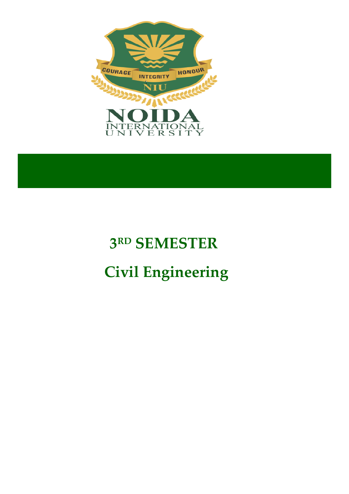

# **3 RD SEMESTER Civil Engineering**

**UNIVERSITY POLYTECHNIC**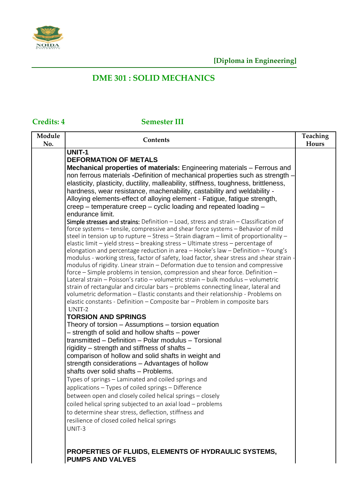

# **DME 301 : SOLID MECHANICS**

### **Credits: 4 Semester III**

| Module | Contents                                                                                                                                                                                                                                                                                                                                                                                                                                                                                                                                                                                                                                                                                                                                                                                                                                                                                                                                                                                                                                                                                                                                                                                                                                                                                                                                                                                                                                                                                                                                                                                                                                                                                                                                                                                                                                                                                                                                                                                                                                                                                                                                                                                                                                                                                                                                                                           | Teaching |
|--------|------------------------------------------------------------------------------------------------------------------------------------------------------------------------------------------------------------------------------------------------------------------------------------------------------------------------------------------------------------------------------------------------------------------------------------------------------------------------------------------------------------------------------------------------------------------------------------------------------------------------------------------------------------------------------------------------------------------------------------------------------------------------------------------------------------------------------------------------------------------------------------------------------------------------------------------------------------------------------------------------------------------------------------------------------------------------------------------------------------------------------------------------------------------------------------------------------------------------------------------------------------------------------------------------------------------------------------------------------------------------------------------------------------------------------------------------------------------------------------------------------------------------------------------------------------------------------------------------------------------------------------------------------------------------------------------------------------------------------------------------------------------------------------------------------------------------------------------------------------------------------------------------------------------------------------------------------------------------------------------------------------------------------------------------------------------------------------------------------------------------------------------------------------------------------------------------------------------------------------------------------------------------------------------------------------------------------------------------------------------------------------|----------|
| No.    |                                                                                                                                                                                                                                                                                                                                                                                                                                                                                                                                                                                                                                                                                                                                                                                                                                                                                                                                                                                                                                                                                                                                                                                                                                                                                                                                                                                                                                                                                                                                                                                                                                                                                                                                                                                                                                                                                                                                                                                                                                                                                                                                                                                                                                                                                                                                                                                    | Hours    |
|        | <b>UNIT-1</b><br><b>DEFORMATION OF METALS</b><br>Mechanical properties of materials: Engineering materials – Ferrous and<br>non ferrous materials -Definition of mechanical properties such as strength<br>elasticity, plasticity, ductility, malleability, stiffness, toughness, brittleness,<br>hardness, wear resistance, machenability, castability and weldability -<br>Alloying elements-effect of alloying element - Fatigue, fatigue strength,<br>creep – temperature creep – cyclic loading and repeated loading –<br>endurance limit.<br>Simple stresses and strains: Definition - Load, stress and strain - Classification of<br>force systems - tensile, compressive and shear force systems - Behavior of mild<br>steel in tension up to rupture $-$ Stress $-$ Strain diagram $-$ limit of proportionality $-$<br>elastic limit - yield stress - breaking stress - Ultimate stress - percentage of<br>elongation and percentage reduction in area - Hooke's law - Definition - Young's<br>modulus - working stress, factor of safety, load factor, shear stress and shear strain -<br>modulus of rigidity. Linear strain - Deformation due to tension and compressive<br>force – Simple problems in tension, compression and shear force. Definition –<br>Lateral strain – Poisson's ratio – volumetric strain – bulk modulus – volumetric<br>strain of rectangular and circular bars - problems connecting linear, lateral and<br>volumetric deformation - Elastic constants and their relationship - Problems on<br>elastic constants - Definition - Composite bar - Problem in composite bars<br>UNIT-2<br><b>TORSION AND SPRINGS</b><br>Theory of torsion – Assumptions – torsion equation<br>- strength of solid and hollow shafts - power<br>transmitted - Definition - Polar modulus - Torsional<br>rigidity – strength and stiffness of shafts –<br>comparison of hollow and solid shafts in weight and<br>strength considerations - Advantages of hollow<br>shafts over solid shafts - Problems.<br>Types of springs - Laminated and coiled springs and<br>applications - Types of coiled springs - Difference<br>between open and closely coiled helical springs - closely<br>coiled helical spring subjected to an axial load - problems<br>to determine shear stress, deflection, stiffness and<br>resilience of closed coiled helical springs<br>UNIT-3 |          |

**PROPERTIES OF FLUIDS, ELEMENTS OF HYDRAULIC SYSTEMS,** 

**PUMPS AND VALVES**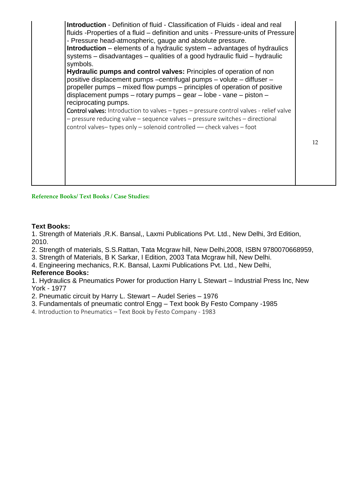

**Reference Books/ Text Books / Case Studies:**

#### **Text Books:**

1. Strength of Materials ,R.K. Bansal,, Laxmi Publications Pvt. Ltd., New Delhi, 3rd Edition, 2010.

- 2. Strength of materials, S.S.Rattan, Tata Mcgraw hill, New Delhi,2008, ISBN 9780070668959,
- 3. Strength of Materials, B K Sarkar, I Edition, 2003 Tata Mcgraw hill, New Delhi.
- 4. Engineering mechanics, R.K. Bansal, Laxmi Publications Pvt. Ltd., New Delhi,

#### **Reference Books:**

1. Hydraulics & Pneumatics Power for production Harry L Stewart – Industrial Press Inc, New York - 1977

2. Pneumatic circuit by Harry L. Stewart – Audel Series – 1976

- 3. Fundamentals of pneumatic control Engg Text book By Festo Company -1985
- 4. Introduction to Pneumatics Text Book by Festo Company 1983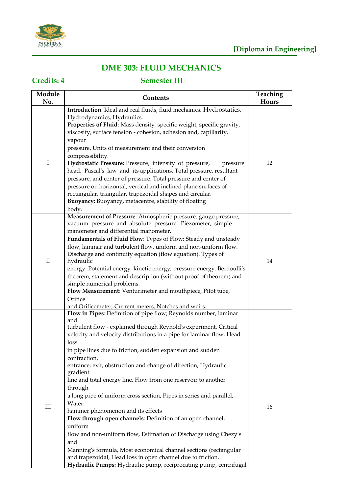

# **DME 303: FLUID MECHANICS**

### **Credits: 4 Semester III**

| Module<br>No. | Contents                                                                                                                                                                                                                                                                                                                                                                                                                                                                                                                                                                                                                                                                                                                                                                                                                                                                                                                                              | Teaching<br>Hours |
|---------------|-------------------------------------------------------------------------------------------------------------------------------------------------------------------------------------------------------------------------------------------------------------------------------------------------------------------------------------------------------------------------------------------------------------------------------------------------------------------------------------------------------------------------------------------------------------------------------------------------------------------------------------------------------------------------------------------------------------------------------------------------------------------------------------------------------------------------------------------------------------------------------------------------------------------------------------------------------|-------------------|
| I             | Introduction: Ideal and real fluids, fluid mechanics, Hydrostatics,<br>Hydrodynamics, Hydraulics.<br>Properties of Fluid: Mass density, specific weight, specific gravity,<br>viscosity, surface tension - cohesion, adhesion and, capillarity,<br>vapour<br>pressure. Units of measurement and their conversion<br>compressibility.<br>Hydrostatic Pressure: Pressure, intensity of pressure,<br>pressure<br>head, Pascal's law and its applications. Total pressure, resultant<br>pressure, and center of pressure. Total pressure and center of<br>pressure on horizontal, vertical and inclined plane surfaces of<br>rectangular, triangular, trapezoidal shapes and circular.<br>Buoyancy: Buoyancy, metacentre, stability of floating<br>body.                                                                                                                                                                                                  | 12                |
| $\rm II$      | Measurement of Pressure: Atmospheric pressure, gauge pressure,<br>vacuum pressure and absolute pressure. Piezometer, simple<br>manometer and differential manometer.<br>Fundamentals of Fluid Flow: Types of Flow: Steady and unsteady<br>flow, laminar and turbulent flow, uniform and non-uniform flow.<br>Discharge and continuity equation (flow equation). Types of<br>hydraulic<br>energy: Potential energy, kinetic energy, pressure energy. Bernoulli's<br>theorem; statement and description (without proof of theorem) and<br>simple numerical problems.<br>Flow Measurement: Venturimeter and mouthpiece, Pitot tube,<br>Orifice<br>and Orificemeter, Current meters, Notches and weirs.                                                                                                                                                                                                                                                   | 14                |
| $\rm III$     | Flow in Pipes: Definition of pipe flow; Reynolds number, laminar<br>and<br>turbulent flow - explained through Reynold's experiment, Critical<br>velocity and velocity distributions in a pipe for laminar flow, Head<br>loss<br>in pipe lines due to friction, sudden expansion and sudden<br>contraction,<br>entrance, exit, obstruction and change of direction, Hydraulic<br>gradient<br>line and total energy line, Flow from one reservoir to another<br>through<br>a long pipe of uniform cross section, Pipes in series and parallel,<br>Water<br>hammer phenomenon and its effects<br>Flow through open channels: Definition of an open channel,<br>uniform<br>flow and non-uniform flow, Estimation of Discharge using Chezy's<br>and<br>Manning's formula, Most economical channel sections (rectangular<br>and trapezoidal, Head loss in open channel due to friction.<br>Hydraulic Pumps: Hydraulic pump, reciprocating pump, centrifugal | 16                |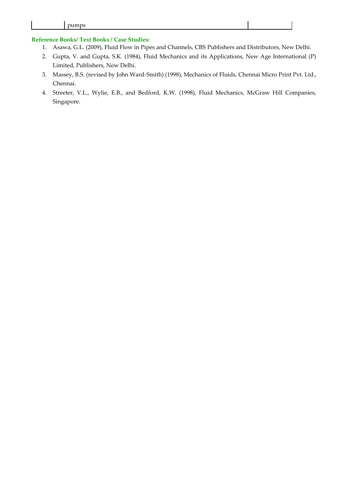#### **Reference Books/ Text Books / Case Studies:**

- 1. Asawa, G.L. (2009), Fluid Flow in Pipes and Channels, CBS Publishers and Distributors, New Delhi.
- 2. Gupta, V. and Gupta, S.K. (1984), Fluid Mechanics and its Applications, New Age International (P) Limited, Publishers, New Delhi.
- 3. Massey, B.S. (revised by John Ward-Smith) (1998), Mechanics of Fluids, Chennai Micro Print Pvt. Ltd., Chennai.
- 4. Streeter, V.L., Wylie, E.B., and Bedford, K.W. (1998), Fluid Mechanics, McGraw Hill Companies, Singapore.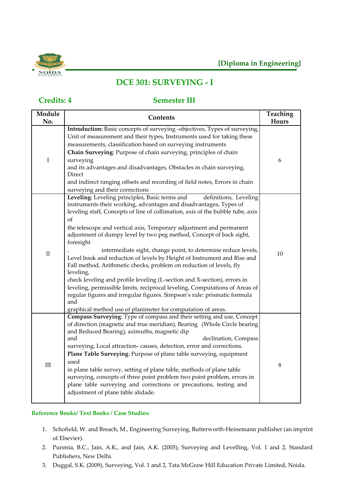

# **DCE 301: SURVEYING - I**

# I Direct surveying and their corrections of II foresight

#### **Credits: 4 Semester III**

| Module<br>No. | Contents                                                                                                                                                                                                                                                                                                                                                                                                                                                                                                                                                                                                                                                                                                                                                                                                                                                                                                                                      | Teaching<br>Hours |
|---------------|-----------------------------------------------------------------------------------------------------------------------------------------------------------------------------------------------------------------------------------------------------------------------------------------------------------------------------------------------------------------------------------------------------------------------------------------------------------------------------------------------------------------------------------------------------------------------------------------------------------------------------------------------------------------------------------------------------------------------------------------------------------------------------------------------------------------------------------------------------------------------------------------------------------------------------------------------|-------------------|
| $\bf I$       | Introduction: Basic concepts of surveying -objectives, Types of surveying,<br>Unit of measurement and their types, Instruments used for taking these<br>measurements, classification based on surveying instruments<br>Chain Surveying: Purpose of chain surveying, principles of chain<br>surveying<br>and its advantages and disadvantages, Obstacles in chain surveying,<br>Direct<br>and indirect ranging offsets and recording of field notes, Errors in chain<br>surveying and their corrections                                                                                                                                                                                                                                                                                                                                                                                                                                        | 6                 |
| $\rm II$      | Leveling: Leveling principles, Basic terms and<br>definitions, Leveling<br>instruments their working, advantages and disadvantages, Types of<br>leveling staff, Concepts of line of collimation, axis of the bubble tube, axis<br>of<br>the telescope and vertical axis, Temporary adjustment and permanent<br>adjustment of dumpy level by two peg method, Concept of back sight,<br>foresight<br>intermediate sight, change point, to determine reduce levels,<br>Level book and reduction of levels by Height of Instrument and Rise and<br>Fall method, Arithmetic checks, problem on reduction of levels, fly<br>leveling,<br>check leveling and profile leveling (L-section and X-section), errors in<br>leveling, permissible limits, reciprocal leveling, Computations of Areas of<br>regular figures and irregular figures. Simpson's rule: prismatic formula<br>and<br>graphical method use of planimeter for computation of areas. | 10                |
| $\rm III$     | Compass Surveying: Type of compass and their setting and use, Concept<br>of direction (magnetic and true meridian), Bearing (Whole Circle bearing<br>and Reduced Bearing), azimuths, magnetic dip<br>and<br>declination, Compass<br>surveying, Local attraction-causes, detection, error and corrections.<br>Plane Table Surveying: Purpose of plane table surveying, equipment<br>used<br>in plane table survey, setting of plane table, methods of plane table<br>surveying, concepts of three point problem two point problem, errors in<br>plane table surveying and corrections or precautions, testing and<br>adjustment of plane table alidade.                                                                                                                                                                                                                                                                                        | $\,8\,$           |

#### **Reference Books/ Text Books / Case Studies:**

- 1. Schofield, W. and Breach, M., Engineering Surveying, Butterworth-Heinemann publisher (an imprint of Elsevier).
- 2. Punmia, B.C., Jain, A.K., and Jain, A.K. (2005), Surveying and Levelling, Vol. 1 and 2, Standard Publishers, New Delhi.
- 3. Duggal, S.K. (2009), Surveying, Vol. 1 and 2, Tata McGraw Hill Education Private Limited, Noida.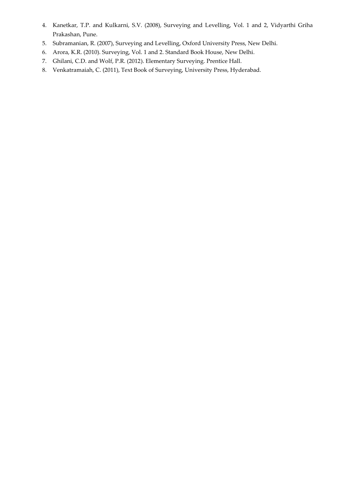- 4. Kanetkar, T.P. and Kulkarni, S.V. (2008), Surveying and Levelling, Vol. 1 and 2, Vidyarthi Griha Prakashan, Pune.
- 5. Subramanian, R. (2007), Surveying and Levelling, Oxford University Press, New Delhi.
- 6. Arora, K.R. (2010). Surveying, Vol. 1 and 2. Standard Book House, New Delhi.
- 7. Ghilani, C.D. and Wolf, P.R. (2012). Elementary Surveying. Prentice Hall.
- 8. Venkatramaiah, C. (2011), Text Book of Surveying, University Press, Hyderabad.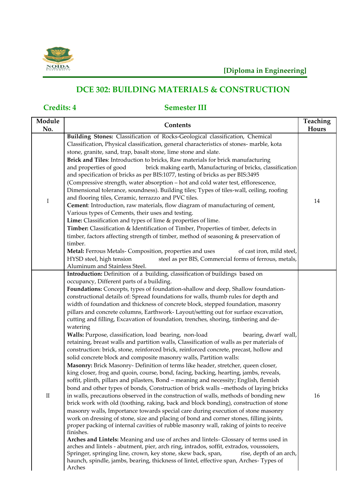

# **DCE 302: BUILDING MATERIALS & CONSTRUCTION**

## **Credits: 4 Semester III**

| Module<br>No. | Contents                                                                                                                                                                                                                                                                                                                                                                                                                                                                                                                                                                                                                                                                                                                                                                                                                                                                                                                                                                                                                                                                                                                                                                                                                                                                                                                                                                                                                                                                                                                                                                                                                                                                                                                                                                                                                                                                                                                                                                                                                                                                                                                                              | Teaching<br>Hours |
|---------------|-------------------------------------------------------------------------------------------------------------------------------------------------------------------------------------------------------------------------------------------------------------------------------------------------------------------------------------------------------------------------------------------------------------------------------------------------------------------------------------------------------------------------------------------------------------------------------------------------------------------------------------------------------------------------------------------------------------------------------------------------------------------------------------------------------------------------------------------------------------------------------------------------------------------------------------------------------------------------------------------------------------------------------------------------------------------------------------------------------------------------------------------------------------------------------------------------------------------------------------------------------------------------------------------------------------------------------------------------------------------------------------------------------------------------------------------------------------------------------------------------------------------------------------------------------------------------------------------------------------------------------------------------------------------------------------------------------------------------------------------------------------------------------------------------------------------------------------------------------------------------------------------------------------------------------------------------------------------------------------------------------------------------------------------------------------------------------------------------------------------------------------------------------|-------------------|
| $\rm I$       | Building Stones: Classification of Rocks-Geological classification, Chemical<br>Classification, Physical classification, general characteristics of stones- marble, kota<br>stone, granite, sand, trap, basalt stone, lime stone and slate.<br>Brick and Tiles: Introduction to bricks, Raw materials for brick manufacturing<br>and properties of good<br>brick making earth, Manufacturing of bricks, classification<br>and specification of bricks as per BIS:1077, testing of bricks as per BIS:3495<br>(Compressive strength, water absorption - hot and cold water test, efflorescence,<br>Dimensional tolerance, soundness). Building tiles; Types of tiles-wall, ceiling, roofing<br>and flooring tiles, Ceramic, terrazzo and PVC tiles.<br>Cement: Introduction, raw materials, flow diagram of manufacturing of cement,<br>Various types of Cements, their uses and testing.<br>Lime: Classification and types of lime & properties of lime.<br>Timber: Classification & Identification of Timber, Properties of timber, defects in<br>timber, factors affecting strength of timber, method of seasoning & preservation of<br>timber.<br>Metal: Ferrous Metals- Composition, properties and uses<br>of cast iron, mild steel,<br>HYSD steel, high tension<br>steel as per BIS, Commercial forms of ferrous, metals,<br>Aluminum and Stainless Steel.                                                                                                                                                                                                                                                                                                                                                                                                                                                                                                                                                                                                                                                                                                                                                                                       | 14                |
| $\rm II$      | Introduction: Definition of a building, classification of buildings based on<br>occupancy, Different parts of a building.<br>Foundations: Concepts, types of foundation-shallow and deep, Shallow foundation-<br>constructional details of: Spread foundations for walls, thumb rules for depth and<br>width of foundation and thickness of concrete block, stepped foundation, masonry<br>pillars and concrete columns, Earthwork- Layout/setting out for surface excavation,<br>cutting and filling, Excavation of foundation, trenches, shoring, timbering and de-<br>watering<br>Walls: Purpose, classification, load bearing, non-load<br>bearing, dwarf wall,<br>retaining, breast walls and partition walls, Classification of walls as per materials of<br>construction: brick, stone, reinforced brick, reinforced concrete, precast, hollow and<br>solid concrete block and composite masonry walls, Partition walls:<br>Masonry: Brick Masonry- Definition of terms like header, stretcher, queen closer,<br>king closer, frog and quoin, course, bond, facing, backing, hearting, jambs, reveals,<br>soffit, plinth, pillars and pilasters, Bond - meaning and necessity; English, flemish<br>bond and other types of bonds, Construction of brick walls -methods of laying bricks<br>in walls, precautions observed in the construction of walls, methods of bonding new<br>brick work with old (toothing, raking, back and block bonding), construction of stone<br>masonry walls, Importance towards special care during execution of stone masonry<br>work on dressing of stone, size and placing of bond and corner stones, filling joints,<br>proper packing of internal cavities of rubble masonry wall, raking of joints to receive<br>finishes.<br>Arches and Lintels: Meaning and use of arches and lintels- Glossary of terms used in<br>arches and lintels - abutment, pier, arch ring, intrados, soffit, extrados, voussoiers,<br>Springer, springing line, crown, key stone, skew back, span,<br>rise, depth of an arch,<br>haunch, spindle, jambs, bearing, thickness of lintel, effective span, Arches-Types of<br>Arches | 16                |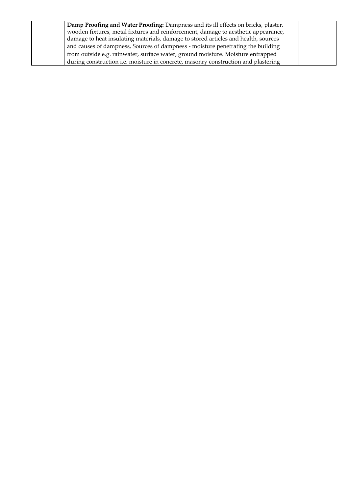| Damp Proofing and Water Proofing: Dampness and its ill effects on bricks, plaster, |  |
|------------------------------------------------------------------------------------|--|
| wooden fixtures, metal fixtures and reinforcement, damage to aesthetic appearance, |  |
| damage to heat insulating materials, damage to stored articles and health, sources |  |
| and causes of dampness, Sources of dampness - moisture penetrating the building    |  |
| from outside e.g. rainwater, surface water, ground moisture. Moisture entrapped    |  |
| during construction i.e. moisture in concrete, masonry construction and plastering |  |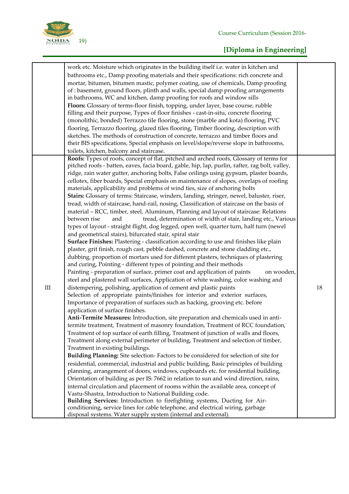

# **[Diploma in Engineering]**

|           | work etc. Moisture which originates in the building itself i.e. water in kitchen and           |    |
|-----------|------------------------------------------------------------------------------------------------|----|
|           | bathrooms etc., Damp proofing materials and their specifications: rich concrete and            |    |
|           | mortar, bitumen, bitumen mastic, polymer coating, use of chemicals, Damp proofing              |    |
|           | of : basement, ground floors, plinth and walls, special damp proofing arrangements             |    |
|           | in bathrooms, WC and kitchen, damp proofing for roofs and window sills                         |    |
|           | Floors: Glossary of terms-floor finish, topping, under layer, base course, rubble              |    |
|           | filling and their purpose, Types of floor finishes - cast-in-situ, concrete flooring           |    |
|           |                                                                                                |    |
|           | (monolithic, bonded) Terrazzo tile flooring, stone (marble and kota) flooring, PVC             |    |
|           | flooring, Terrazzo flooring, glazed tiles flooring, Timber flooring, description with          |    |
|           | sketches. The methods of construction of concrete, terrazzo and timber floors and              |    |
|           | their BIS specifications, Special emphasis on level/slope/reverse slope in bathrooms,          |    |
|           | toilets, kitchen, balcony and staircase.                                                       |    |
|           | Roofs: Types of roofs, concept of flat, pitched and arched roofs, Glossary of terms for        |    |
|           | pitched roofs - batten, eaves, facia board, gable, hip, lap, purlin, rafter, rag bolt, valley, |    |
|           | ridge, rain water gutter, anchoring bolts, False ceilings using gypsum, plaster boards,        |    |
|           | cellotex, fiber boards, Special emphasis on maintenance of slopes, overlaps of roofing         |    |
|           | materials, applicability and problems of wind ties, size of anchoring bolts                    |    |
|           | Stairs: Glossary of terms: Staircase, winders, landing, stringer, newel, baluster, riser,      |    |
|           | tread, width of staircase, hand-rail, nosing, Classification of staircase on the basis of      |    |
|           | material - RCC, timber, steel, Aluminum, Planning and layout of staircase: Relations           |    |
|           | tread, determination of width of stair, landing etc., Various<br>between rise<br>and           |    |
|           | types of layout - straight flight, dog legged, open well, quarter turn, half turn (newel       |    |
|           | and geometrical stairs), bifurcated stair, spiral stair                                        |    |
|           | Surface Finishes: Plastering - classification according to use and finishes like plain         |    |
|           | plaster, grit finish, rough cast, pebble dashed, concrete and stone cladding etc.,             |    |
|           | dubbing, proportion of mortars used for different plasters, techniques of plastering           |    |
|           | and curing, Pointing - different types of pointing and their methods                           |    |
|           | on wooden,                                                                                     |    |
|           | Painting - preparation of surface, primer coat and application of paints                       |    |
|           | steel and plastered wall surfaces, Application of white washing, color washing and             |    |
| $\rm III$ | distempering, polishing, application of cement and plastic paints                              | 18 |
|           | Selection of appropriate paints/finishes for interior and exterior surfaces,                   |    |
|           | Importance of preparation of surfaces such as hacking, grooving etc. before                    |    |
|           | application of surface finishes.                                                               |    |
|           | Anti-Termite Measures: Introduction, site preparation and chemicals used in anti-              |    |
|           | termite treatment, Treatment of masonry foundation, Treatment of RCC foundation,               |    |
|           | Treatment of top surface of earth filling, Treatment of junction of walls and floors,          |    |
|           | Treatment along external perimeter of building, Treatment and selection of timber,             |    |
|           | Treatment in existing buildings.                                                               |    |
|           | Building Planning: Site selection-Factors to be considered for selection of site for           |    |
|           | residential, commercial, industrial and public building, Basic principles of building          |    |
|           | planning, arrangement of doors, windows, cupboards etc. for residential building,              |    |
|           | Orientation of building as per IS: 7662 in relation to sun and wind direction, rains,          |    |
|           | internal circulation and placement of rooms within the available area, concept of              |    |
|           | Vastu-Shastra, Introduction to National Building code.                                         |    |
|           | Building Services: Introduction to firefighting systems, Ducting for Air-                      |    |
|           | conditioning, service lines for cable telephone, and electrical wiring, garbage                |    |
|           | disposal systems. Water supply system (internal and external).                                 |    |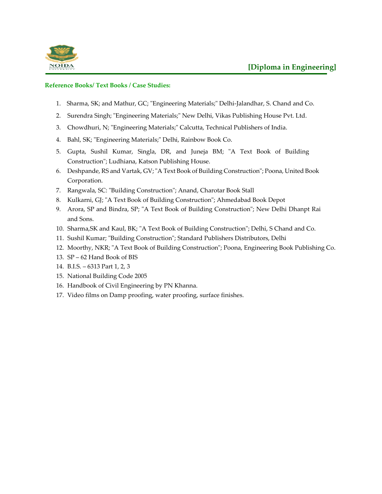

#### **Reference Books/ Text Books / Case Studies:**

- 1. Sharma, SK; and Mathur, GC; "Engineering Materials;" Delhi-Jalandhar, S. Chand and Co.
- 2. Surendra Singh; "Engineering Materials;" New Delhi, Vikas Publishing House Pvt. Ltd.
- 3. Chowdhuri, N; "Engineering Materials;" Calcutta, Technical Publishers of India.
- 4. Bahl, SK; "Engineering Materials;" Delhi, Rainbow Book Co.
- 5. Gupta, Sushil Kumar, Singla, DR, and Juneja BM; "A Text Book of Building Construction"; Ludhiana, Katson Publishing House.
- 6. Deshpande, RS and Vartak, GV; "A Text Book of Building Construction"; Poona, United Book Corporation.
- 7. Rangwala, SC: "Building Construction"; Anand, Charotar Book Stall
- 8. Kulkarni, GJ; "A Text Book of Building Construction"; Ahmedabad Book Depot
- 9. Arora, SP and Bindra, SP; "A Text Book of Building Construction"; New Delhi Dhanpt Rai and Sons.
- 10. Sharma,SK and Kaul, BK; "A Text Book of Building Construction"; Delhi, S Chand and Co.
- 11. Sushil Kumar; "Building Construction"; Standard Publishers Distributors, Delhi
- 12. Moorthy, NKR; "A Text Book of Building Construction"; Poona, Engineering Book Publishing Co.
- 13. SP 62 Hand Book of BIS
- 14. B.I.S. 6313 Part 1, 2, 3
- 15. National Building Code 2005
- 16. Handbook of Civil Engineering by PN Khanna.
- 17. Video films on Damp proofing, water proofing, surface finishes.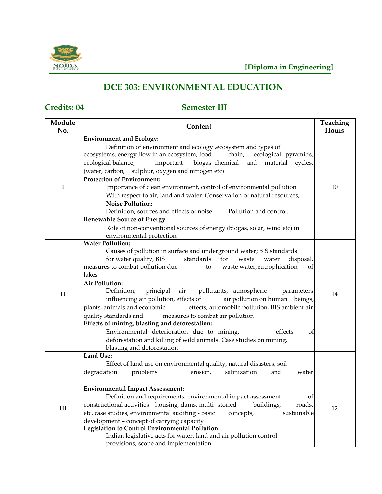

# **DCE 303: ENVIRONMENTAL EDUCATION**

## **Credits: 04 Semester III**

| Module<br>No. | Content                                                                                                                                               | <b>Teaching</b><br>Hours |
|---------------|-------------------------------------------------------------------------------------------------------------------------------------------------------|--------------------------|
|               | <b>Environment and Ecology:</b>                                                                                                                       |                          |
|               | Definition of environment and ecology , ecosystem and types of<br>ecosystems, energy flow in an ecosystem, food<br>chain,<br>ecological pyramids,     |                          |
|               | ecological balance,<br>important<br>biogas chemical and<br>material<br>cycles,                                                                        |                          |
|               | (water, carbon, sulphur, oxygen and nitrogen etc)                                                                                                     |                          |
|               | <b>Protection of Environment:</b>                                                                                                                     |                          |
| I             | Importance of clean environment, control of environmental pollution                                                                                   | 10                       |
|               | With respect to air, land and water. Conservation of natural resources,                                                                               |                          |
|               | <b>Noise Pollution:</b>                                                                                                                               |                          |
|               | Definition, sources and effects of noise<br>Pollution and control.                                                                                    |                          |
|               | <b>Renewable Source of Energy:</b>                                                                                                                    |                          |
|               | Role of non-conventional sources of energy (biogas, solar, wind etc) in                                                                               |                          |
|               | environmental protection                                                                                                                              |                          |
|               | <b>Water Pollution:</b>                                                                                                                               |                          |
|               | Causes of pollution in surface and underground water; BIS standards                                                                                   |                          |
|               | for water quality, BIS<br>standards for<br>waste<br>disposal,<br>water<br>measures to combat pollution due<br>waste water, eutrophication<br>to<br>of |                          |
|               | lakes                                                                                                                                                 |                          |
|               | <b>Air Pollution:</b>                                                                                                                                 |                          |
|               | Definition,<br>principal<br>air<br>pollutants, atmospheric<br>parameters                                                                              |                          |
| $\mathbf{I}$  | influencing air pollution, effects of<br>air pollution on human beings,                                                                               | 14                       |
|               | plants, animals and economic<br>effects, automobile pollution, BIS ambient air                                                                        |                          |
|               | quality standards and<br>measures to combat air pollution                                                                                             |                          |
|               | Effects of mining, blasting and deforestation:                                                                                                        |                          |
|               | Environmental deterioration due to mining,<br>effects<br>οf                                                                                           |                          |
|               | deforestation and killing of wild animals. Case studies on mining,                                                                                    |                          |
|               | blasting and deforestation                                                                                                                            |                          |
|               | <b>Land Use:</b>                                                                                                                                      |                          |
|               | Effect of land use on environmental quality, natural disasters, soil                                                                                  |                          |
|               | problems<br>salinization<br>degradation<br>erosion,<br>and<br>$\mathbb{Z}^2$<br>water                                                                 |                          |
|               | <b>Environmental Impact Assessment:</b>                                                                                                               |                          |
|               | Definition and requirements, environmental impact assessment<br>οf                                                                                    |                          |
| III           | constructional activities - housing, dams, multi-storied<br>buildings,<br>roads,                                                                      | 12                       |
|               | etc, case studies, environmental auditing - basic<br>sustainable<br>concepts,                                                                         |                          |
|               | development - concept of carrying capacity                                                                                                            |                          |
|               | <b>Legislation to Control Environmental Pollution:</b>                                                                                                |                          |
|               | Indian legislative acts for water, land and air pollution control -<br>provisions, scope and implementation                                           |                          |
|               |                                                                                                                                                       |                          |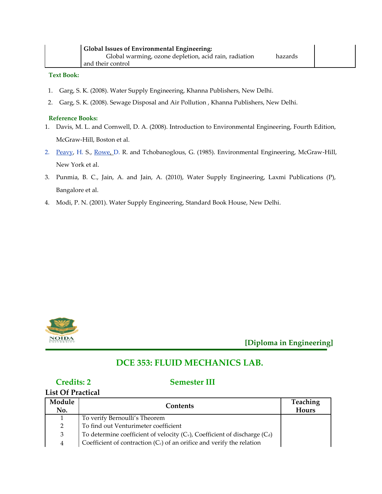| <b>Global Issues of Environmental Engineering:</b>               |  |
|------------------------------------------------------------------|--|
| Global warming, ozone depletion, acid rain, radiation<br>hazards |  |
| and their control                                                |  |

#### **Text Book:**

- 1. Garg, S. K. (2008). Water Supply Engineering, Khanna Publishers, New Delhi.
- 2. Garg, S. K. (2008). Sewage Disposal and Air Pollution , Khanna Publishers, New Delhi.

#### **Reference Books:**

- 1. Davis, M. L. and Cornwell, D. A. (2008). Introduction to Environmental Engineering, Fourth Edition, McGraw-Hill, Boston et al.
- 2. [Peavy, H](http://www.flipkart.com/author/howard-peavy/). S., [Rowe, D](http://www.flipkart.com/author/d-rowe/). R. and Tchobanoglous, G. (1985). Environmental Engineering, McGraw-Hill, New York et al.
- 3. Punmia, B. C., Jain, A. and Jain, A. (2010), Water Supply Engineering, Laxmi Publications (P), Bangalore et al.
- 4. Modi, P. N. (2001). Water Supply Engineering, Standard Book House, New Delhi.



**[Diploma in Engineering]**

### **DCE 353: FLUID MECHANICS LAB.**

#### **Credits: 2 Semester III**

#### **List Of Practical**

| Module<br>No.  | <b>Contents</b>                                                                 | <b>Teaching</b><br>Hours |
|----------------|---------------------------------------------------------------------------------|--------------------------|
| $\mathbf{1}$   | To verify Bernoulli's Theorem                                                   |                          |
| $\overline{2}$ | To find out Venturimeter coefficient                                            |                          |
| 3              | To determine coefficient of velocity $(C_v)$ , Coefficient of discharge $(C_d)$ |                          |
| 4              | Coefficient of contraction $(Cc)$ of an orifice and verify the relation         |                          |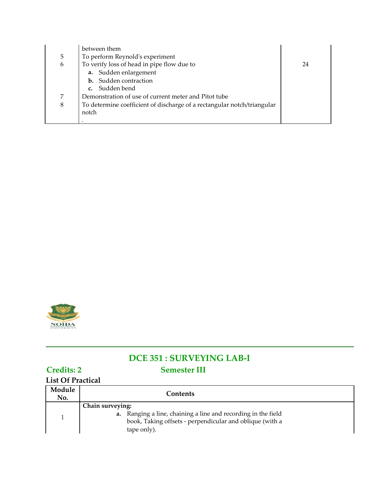|   | between them                                                            |    |
|---|-------------------------------------------------------------------------|----|
| 5 | To perform Reynold's experiment                                         |    |
| 6 | To verify loss of head in pipe flow due to                              | 24 |
|   | a. Sudden enlargement                                                   |    |
|   | <b>b.</b> Sudden contraction                                            |    |
|   | c. Sudden bend                                                          |    |
| 7 | Demonstration of use of current meter and Pitot tube                    |    |
| 8 | To determine coefficient of discharge of a rectangular notch/triangular |    |
|   | notch                                                                   |    |
|   |                                                                         |    |



# **DCE 351 : SURVEYING LAB-I Credits: 2 Semester III**

## **List Of Practical**

| Module<br>No. | Contents                                                                                                                                                     |
|---------------|--------------------------------------------------------------------------------------------------------------------------------------------------------------|
|               | Chain surveying:<br>a. Ranging a line, chaining a line and recording in the field<br>book, Taking offsets - perpendicular and oblique (with a<br>tape only). |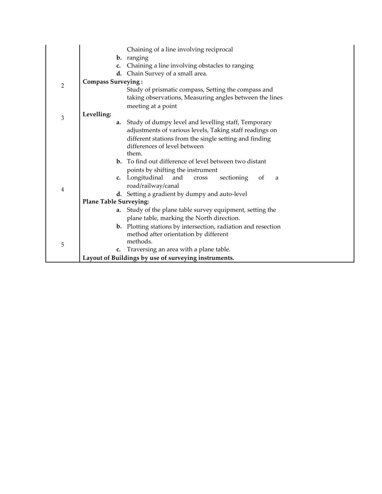|                | Chaining of a line involving reciprocal                                                       |
|----------------|-----------------------------------------------------------------------------------------------|
|                | <b>b.</b> ranging                                                                             |
|                | Chaining a line involving obstacles to ranging<br>c.                                          |
|                | Chain Survey of a small area.<br>d.                                                           |
| 2              | <b>Compass Surveying:</b>                                                                     |
|                | Study of prismatic compass, Setting the compass and                                           |
|                | taking observations, Measuring angles between the lines                                       |
|                | meeting at a point                                                                            |
| $\mathfrak{Z}$ | Levelling:                                                                                    |
|                | Study of dumpy level and levelling staff, Temporary<br>a.                                     |
|                | adjustments of various levels, Taking staff readings on                                       |
|                | different stations from the single setting and finding                                        |
|                | differences of level between<br>them.                                                         |
|                | <b>b.</b> To find out difference of level between two distant                                 |
|                |                                                                                               |
|                | points by shifting the instrument<br>c. Longitudinal<br>and<br>sectioning<br>of<br>cross<br>a |
|                | road/railway/canal                                                                            |
| 4              | d. Setting a gradient by dumpy and auto-level                                                 |
|                | <b>Plane Table Surveying:</b>                                                                 |
|                | a. Study of the plane table survey equipment, setting the                                     |
|                | plane table, marking the North direction.                                                     |
|                | <b>b.</b> Plotting stations by intersection, radiation and resection                          |
|                | method after orientation by different                                                         |
|                | methods.                                                                                      |
| 5              | Traversing an area with a plane table.<br>c.                                                  |
|                | Layout of Buildings by use of surveying instruments.                                          |
|                |                                                                                               |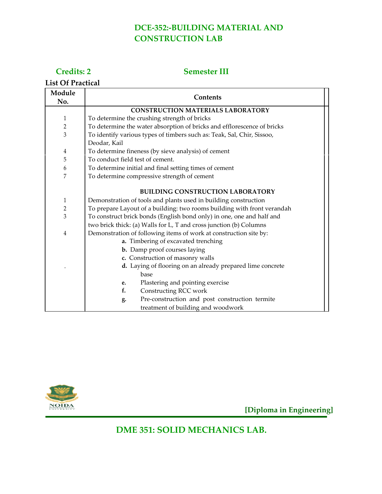## **DCE-352:-BUILDING MATERIAL AND CONSTRUCTION LAB**

### **Credits: 2**

#### **Semester III**

**List Of Practical**

| Module         | Contents                                                                |  |  |
|----------------|-------------------------------------------------------------------------|--|--|
| No.            |                                                                         |  |  |
|                | <b>CONSTRUCTION MATERIALS LABORATORY</b>                                |  |  |
| 1              | To determine the crushing strength of bricks                            |  |  |
| $\overline{2}$ | To determine the water absorption of bricks and efflorescence of bricks |  |  |
| 3              | To identify various types of timbers such as: Teak, Sal, Chir, Sissoo,  |  |  |
|                | Deodar, Kail                                                            |  |  |
| 4              | To determine fineness (by sieve analysis) of cement                     |  |  |
| 5              | To conduct field test of cement.                                        |  |  |
| 6              | To determine initial and final setting times of cement                  |  |  |
| 7              | To determine compressive strength of cement                             |  |  |
|                |                                                                         |  |  |
|                | <b>BUILDING CONSTRUCTION LABORATORY</b>                                 |  |  |
| $\mathbf{1}$   | Demonstration of tools and plants used in building construction         |  |  |
| $\sqrt{2}$     | To prepare Layout of a building: two rooms building with front verandah |  |  |
| 3              | To construct brick bonds (English bond only) in one, one and half and   |  |  |
|                | two brick thick: (a) Walls for L, T and cross junction (b) Columns      |  |  |
| $\overline{4}$ | Demonstration of following items of work at construction site by:       |  |  |
|                | a. Timbering of excavated trenching                                     |  |  |
|                | b. Damp proof courses laying                                            |  |  |
|                | c. Construction of masonry walls                                        |  |  |
|                | d. Laying of flooring on an already prepared lime concrete              |  |  |
|                | base                                                                    |  |  |
|                | Plastering and pointing exercise<br>e.                                  |  |  |
|                | Constructing RCC work<br>f.                                             |  |  |
|                | Pre-construction and post construction termite<br>g.                    |  |  |
|                | treatment of building and woodwork                                      |  |  |



**[Diploma in Engineering]**